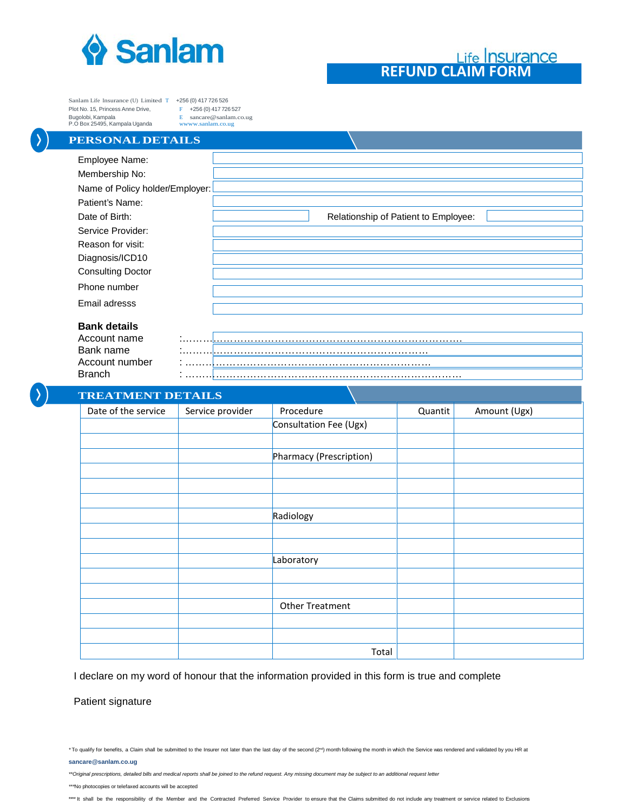

## **REFUND CLAIM FORM**

Sanlam Life Insurance (U) Limited T +256 (0) 417 726 526<br>Plot No. 15, Princess Anne Drive, F +256 (0) 417 726 527 Plot No. 15, Princess Anne Drive,<br>Bugolobi, Kampala P.O Box 25495, Kampala Uganda

E [sancare@sanlam.co.ug](mailto:sancare@sanlam.co.ug)<br>www.sanlam.co.ug

## **PERSONAL DETAILS**

| Employee Name:                  |                                      |
|---------------------------------|--------------------------------------|
| Membership No:                  |                                      |
| Name of Policy holder/Employer: |                                      |
| Patient's Name:                 |                                      |
| Date of Birth:                  | Relationship of Patient to Employee: |
| Service Provider:               |                                      |
| Reason for visit:               |                                      |
| Diagnosis/ICD10                 |                                      |
| <b>Consulting Doctor</b>        |                                      |
| Phone number                    |                                      |
| Email adresss                   |                                      |
| <b>Bank details</b>             |                                      |
|                                 |                                      |

| Account name   |  |
|----------------|--|
| Bank name      |  |
| Account number |  |
| Branch         |  |

## **TREATMENT DETAILS**

| INDIVIDENT DE MADO  |                  |                         |         |              |
|---------------------|------------------|-------------------------|---------|--------------|
| Date of the service | Service provider | Procedure               | Quantit | Amount (Ugx) |
|                     |                  | Consultation Fee (Ugx)  |         |              |
|                     |                  |                         |         |              |
|                     |                  | Pharmacy (Prescription) |         |              |
|                     |                  |                         |         |              |
|                     |                  |                         |         |              |
|                     |                  |                         |         |              |
|                     |                  | Radiology               |         |              |
|                     |                  |                         |         |              |
|                     |                  |                         |         |              |
|                     |                  | Laboratory              |         |              |
|                     |                  |                         |         |              |
|                     |                  |                         |         |              |
|                     |                  | Other Treatment         |         |              |
|                     |                  |                         |         |              |
|                     |                  |                         |         |              |
|                     |                  | Total                   |         |              |

I declare on my word of honour that the information provided in this form is true and complete

Patient signature

**sancare@sanlam.co.ug**

*\*\*Original prescriptions, detailed bills and medical reports shall be joined to the refund request. Any missing document may be subject to an additional request letter*

*\*\*\**No photocopies or telefaxed accounts will be accepted

<sup>\*</sup>To qualify for benefits, a Claim shall be submitted to the Insurer not later than the last day of the second (2<sup>rd)</sup> month following the month in which the Service was rendered and validated by you HR at

<sup>\*\*\*\*</sup> It shall be the responsibility of the Member and the Contracted Preferred Service Provider to ensure that the Claims submitted do not include any treatment or service related to Exclusions